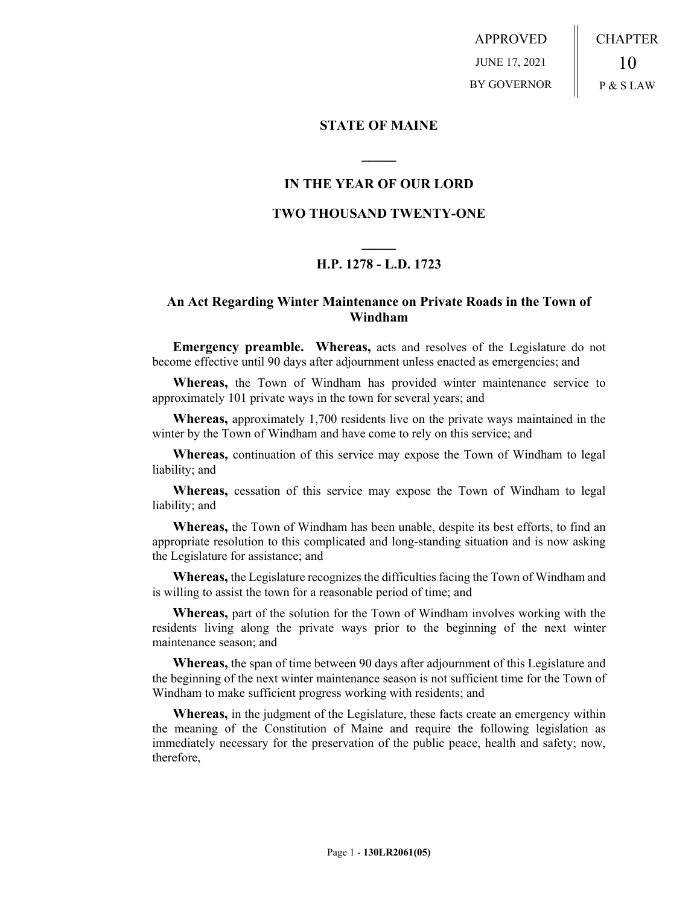APPROVED JUNE 17, 2021 BY GOVERNOR CHAPTER 10 P & S LAW

### **STATE OF MAINE**

## **IN THE YEAR OF OUR LORD**

**\_\_\_\_\_**

## **TWO THOUSAND TWENTY-ONE**

# **\_\_\_\_\_ H.P. 1278 - L.D. 1723**

## **An Act Regarding Winter Maintenance on Private Roads in the Town of Windham**

**Emergency preamble. Whereas,** acts and resolves of the Legislature do not become effective until 90 days after adjournment unless enacted as emergencies; and

**Whereas,** the Town of Windham has provided winter maintenance service to approximately 101 private ways in the town for several years; and

**Whereas,** approximately 1,700 residents live on the private ways maintained in the winter by the Town of Windham and have come to rely on this service; and

**Whereas,** continuation of this service may expose the Town of Windham to legal liability; and

**Whereas,** cessation of this service may expose the Town of Windham to legal liability; and

**Whereas,** the Town of Windham has been unable, despite its best efforts, to find an appropriate resolution to this complicated and long-standing situation and is now asking the Legislature for assistance; and

**Whereas,** the Legislature recognizes the difficulties facing the Town of Windham and is willing to assist the town for a reasonable period of time; and

**Whereas,** part of the solution for the Town of Windham involves working with the residents living along the private ways prior to the beginning of the next winter maintenance season; and

**Whereas,** the span of time between 90 days after adjournment of this Legislature and the beginning of the next winter maintenance season is not sufficient time for the Town of Windham to make sufficient progress working with residents; and

**Whereas,** in the judgment of the Legislature, these facts create an emergency within the meaning of the Constitution of Maine and require the following legislation as immediately necessary for the preservation of the public peace, health and safety; now, therefore,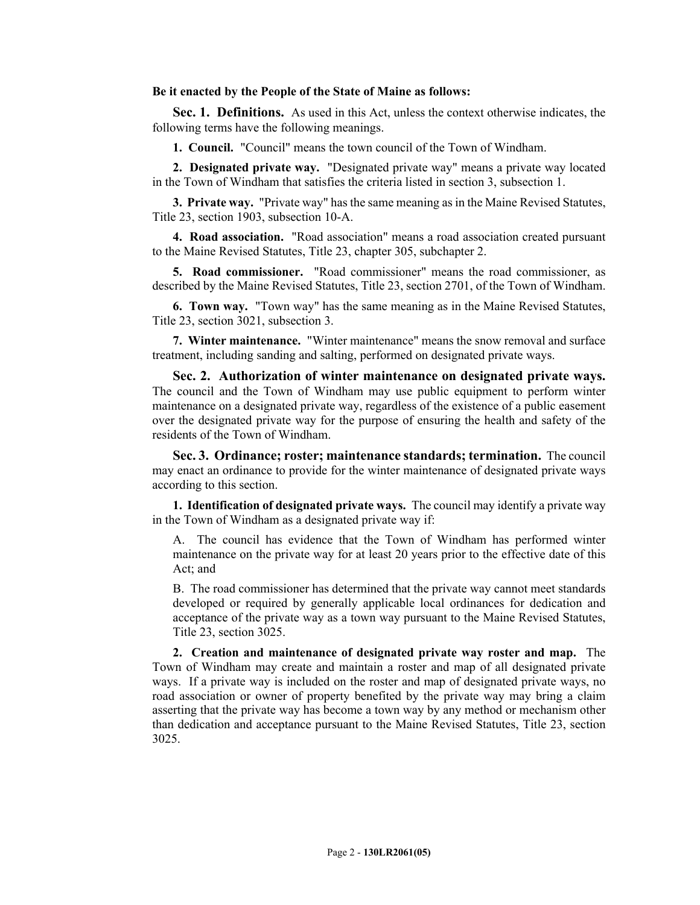#### **Be it enacted by the People of the State of Maine as follows:**

**Sec. 1. Definitions.** As used in this Act, unless the context otherwise indicates, the following terms have the following meanings.

**1. Council.** "Council" means the town council of the Town of Windham.

**2. Designated private way.** "Designated private way" means a private way located in the Town of Windham that satisfies the criteria listed in section 3, subsection 1.

**3. Private way.** "Private way" has the same meaning as in the Maine Revised Statutes, Title 23, section 1903, subsection 10-A.

**4. Road association.** "Road association" means a road association created pursuant to the Maine Revised Statutes, Title 23, chapter 305, subchapter 2.

**5. Road commissioner.** "Road commissioner" means the road commissioner, as described by the Maine Revised Statutes, Title 23, section 2701, of the Town of Windham.

**6. Town way.** "Town way" has the same meaning as in the Maine Revised Statutes, Title 23, section 3021, subsection 3.

**7. Winter maintenance.** "Winter maintenance" means the snow removal and surface treatment, including sanding and salting, performed on designated private ways.

**Sec. 2. Authorization of winter maintenance on designated private ways.**  The council and the Town of Windham may use public equipment to perform winter maintenance on a designated private way, regardless of the existence of a public easement over the designated private way for the purpose of ensuring the health and safety of the residents of the Town of Windham.

**Sec. 3. Ordinance; roster; maintenance standards; termination.** The council may enact an ordinance to provide for the winter maintenance of designated private ways according to this section.

**1. Identification of designated private ways.** The council may identify a private way in the Town of Windham as a designated private way if:

A. The council has evidence that the Town of Windham has performed winter maintenance on the private way for at least 20 years prior to the effective date of this Act; and

B. The road commissioner has determined that the private way cannot meet standards developed or required by generally applicable local ordinances for dedication and acceptance of the private way as a town way pursuant to the Maine Revised Statutes, Title 23, section 3025.

**2. Creation and maintenance of designated private way roster and map.** The Town of Windham may create and maintain a roster and map of all designated private ways. If a private way is included on the roster and map of designated private ways, no road association or owner of property benefited by the private way may bring a claim asserting that the private way has become a town way by any method or mechanism other than dedication and acceptance pursuant to the Maine Revised Statutes, Title 23, section 3025.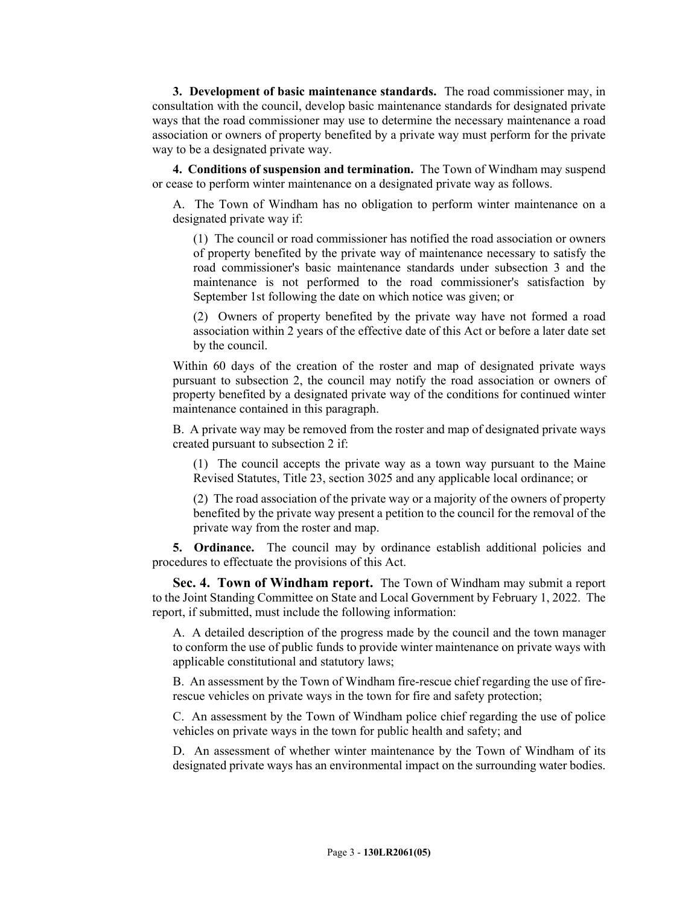**3. Development of basic maintenance standards.** The road commissioner may, in consultation with the council, develop basic maintenance standards for designated private ways that the road commissioner may use to determine the necessary maintenance a road association or owners of property benefited by a private way must perform for the private way to be a designated private way.

**4. Conditions of suspension and termination.** The Town of Windham may suspend or cease to perform winter maintenance on a designated private way as follows.

A. The Town of Windham has no obligation to perform winter maintenance on a designated private way if:

(1) The council or road commissioner has notified the road association or owners of property benefited by the private way of maintenance necessary to satisfy the road commissioner's basic maintenance standards under subsection 3 and the maintenance is not performed to the road commissioner's satisfaction by September 1st following the date on which notice was given; or

(2) Owners of property benefited by the private way have not formed a road association within 2 years of the effective date of this Act or before a later date set by the council.

Within 60 days of the creation of the roster and map of designated private ways pursuant to subsection 2, the council may notify the road association or owners of property benefited by a designated private way of the conditions for continued winter maintenance contained in this paragraph.

B. A private way may be removed from the roster and map of designated private ways created pursuant to subsection 2 if:

(1) The council accepts the private way as a town way pursuant to the Maine Revised Statutes, Title 23, section 3025 and any applicable local ordinance; or

(2) The road association of the private way or a majority of the owners of property benefited by the private way present a petition to the council for the removal of the private way from the roster and map.

**5. Ordinance.** The council may by ordinance establish additional policies and procedures to effectuate the provisions of this Act.

**Sec. 4. Town of Windham report.** The Town of Windham may submit a report to the Joint Standing Committee on State and Local Government by February 1, 2022. The report, if submitted, must include the following information:

A. A detailed description of the progress made by the council and the town manager to conform the use of public funds to provide winter maintenance on private ways with applicable constitutional and statutory laws;

B. An assessment by the Town of Windham fire-rescue chief regarding the use of firerescue vehicles on private ways in the town for fire and safety protection;

C. An assessment by the Town of Windham police chief regarding the use of police vehicles on private ways in the town for public health and safety; and

D. An assessment of whether winter maintenance by the Town of Windham of its designated private ways has an environmental impact on the surrounding water bodies.